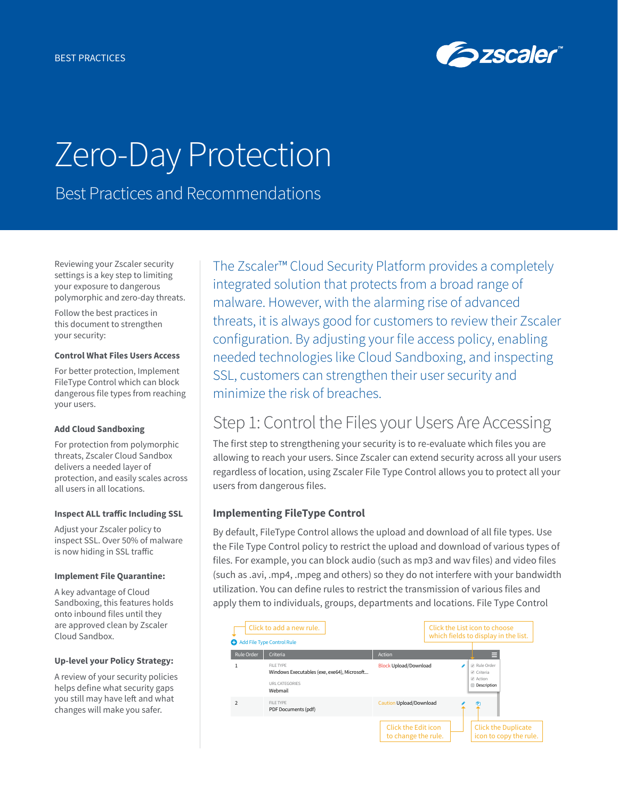

# Zero-Day Protection

Best Practices and Recommendations

Reviewing your Zscaler security settings is a key step to limiting your exposure to dangerous polymorphic and zero-day threats.

Follow the best practices in this document to strengthen your security:

#### **Control What Files Users Access**

For better protection, Implement FileType Control which can block dangerous file types from reaching your users.

#### **Add Cloud Sandboxing**

For protection from polymorphic threats, Zscaler Cloud Sandbox delivers a needed layer of protection, and easily scales across all users in all locations.

#### **Inspect ALL traffic Including SSL**

Adjust your Zscaler policy to inspect SSL. Over 50% of malware is now hiding in SSL traffic

#### **Implement File Quarantine:**

A key advantage of Cloud Sandboxing, this features holds onto inbound files until they are approved clean by Zscaler Cloud Sandbox.

### **Up-level your Policy Strategy:**

A review of your security policies helps define what security gaps you still may have left and what changes will make you safer.

The Zscaler™ Cloud Security Platform provides a completely integrated solution that protects from a broad range of malware. However, with the alarming rise of advanced threats, it is always good for customers to review their Zscaler configuration. By adjusting your file access policy, enabling needed technologies like Cloud Sandboxing, and inspecting SSL, customers can strengthen their user security and minimize the risk of breaches.

# Step 1: Control the Files your Users Are Accessing

The first step to strengthening your security is to re-evaluate which files you are allowing to reach your users. Since Zscaler can extend security across all your users regardless of location, using Zscaler File Type Control allows you to protect all your users from dangerous files.

# **Implementing FileType Control**

By default, FileType Control allows the upload and download of all file types. Use the File Type Control policy to restrict the upload and download of various types of files. For example, you can block audio (such as mp3 and wav files) and video files (such as .avi, .mp4, .mpeg and others) so they do not interfere with your bandwidth utilization. You can define rules to restrict the transmission of various files and apply them to individuals, groups, departments and locations. File Type Control

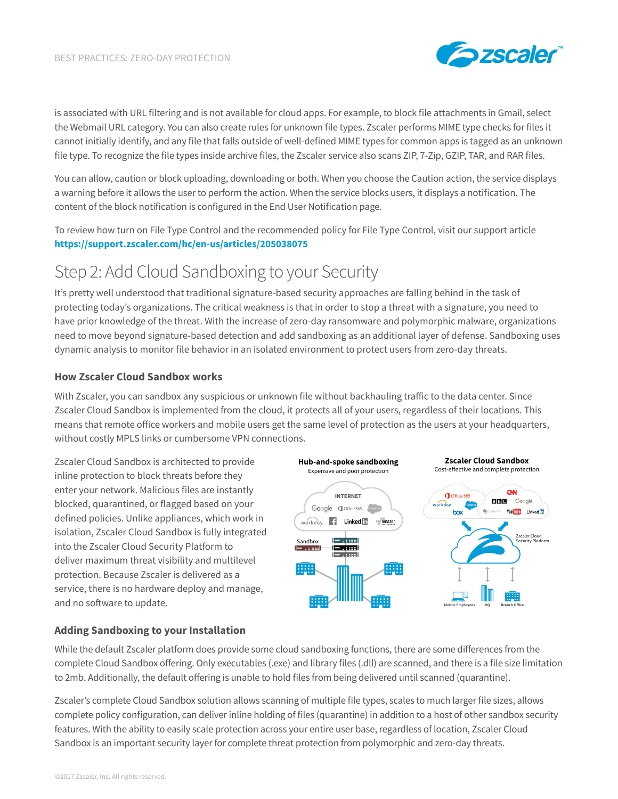

is associated with URL filtering and is not available for cloud apps. For example, to block file attachments in Gmail, select the Webmail URL category. You can also create rules for unknown file types. Zscaler performs MIME type checks for files it cannot initially identify, and any file that falls outside of well-defined MIME types for common apps is tagged as an unknown file type. To recognize the file types inside archive files, the Zscaler service also scans ZIP, 7-Zip, GZIP, TAR, and RAR files.

You can allow, caution or block uploading, downloading or both. When you choose the Caution action, the service displays a warning before it allows the user to perform the action. When the service blocks users, it displays a notification. The content of the block notification is configured in the End User Notification page.

To review how turn on File Type Control and the recommended policy for File Type Control, visit our support article **<https://support.zscaler.com/hc/en-us/articles/205038075>**

# Step 2: Add Cloud Sandboxing to your Security

It's pretty well understood that traditional signature-based security approaches are falling behind in the task of protecting today's organizations. The critical weakness is that in order to stop a threat with a signature, you need to have prior knowledge of the threat. With the increase of zero-day ransomware and polymorphic malware, organizations need to move beyond signature-based detection and add sandboxing as an additional layer of defense. Sandboxing uses dynamic analysis to monitor file behavior in an isolated environment to protect users from zero-day threats.

# **How Zscaler Cloud Sandbox works**

With Zscaler, you can sandbox any suspicious or unknown file without backhauling traffic to the data center. Since Zscaler Cloud Sandbox is implemented from the cloud, it protects all of your users, regardless of their locations. This means that remote office workers and mobile users get the same level of protection as the users at your headquarters, without costly MPLS links or cumbersome VPN connections.

Zscaler Cloud Sandbox is architected to provide inline protection to block threats before they enter your network. Malicious files are instantly blocked, quarantined, or flagged based on your defined policies. Unlike appliances, which work in isolation, Zscaler Cloud Sandbox is fully integrated into the Zscaler Cloud Security Platform to deliver maximum threat visibility and multilevel protection. Because Zscaler is delivered as a service, there is no hardware deploy and manage, and no software to update.



# **Adding Sandboxing to your Installation**

While the default Zscaler platform does provide some cloud sandboxing functions, there are some differences from the complete Cloud Sandbox offering. Only executables (.exe) and library files (.dll) are scanned, and there is a file size limitation to 2mb. Additionally, the default offering is unable to hold files from being delivered until scanned (quarantine).

Zscaler's complete Cloud Sandbox solution allows scanning of multiple file types, scales to much larger file sizes, allows complete policy configuration, can deliver inline holding of files (quarantine) in addition to a host of other sandbox security features. With the ability to easily scale protection across your entire user base, regardless of location, Zscaler Cloud Sandbox is an important security layer for complete threat protection from polymorphic and zero-day threats.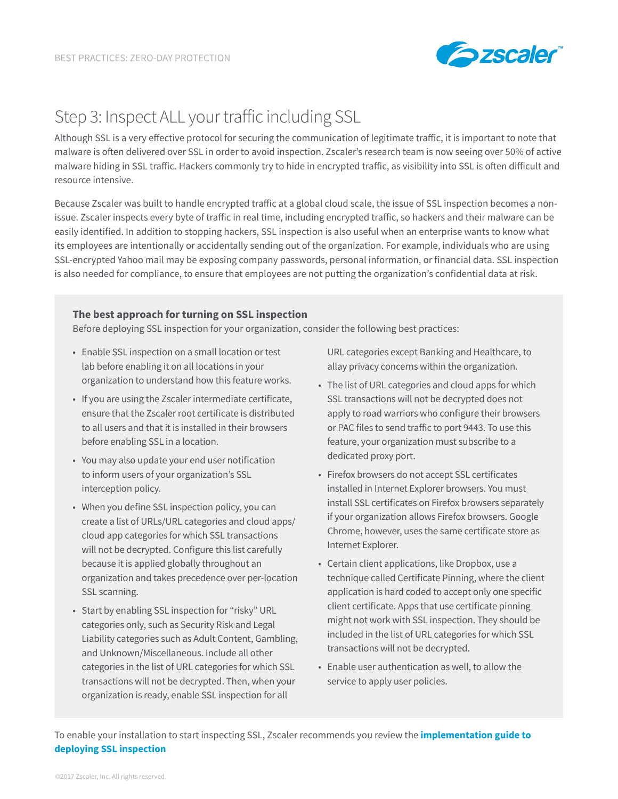

# Step 3: Inspect ALL your traffic including SSL

Although SSL is a very effective protocol for securing the communication of legitimate traffic, it is important to note that malware is often delivered over SSL in order to avoid inspection. Zscaler's research team is now seeing over 50% of active malware hiding in SSL traffic. Hackers commonly try to hide in encrypted traffic, as visibility into SSL is often difficult and resource intensive.

Because Zscaler was built to handle encrypted traffic at a global cloud scale, the issue of SSL inspection becomes a nonissue. Zscaler inspects every byte of traffic in real time, including encrypted traffic, so hackers and their malware can be easily identified. In addition to stopping hackers, SSL inspection is also useful when an enterprise wants to know what its employees are intentionally or accidentally sending out of the organization. For example, individuals who are using SSL-encrypted Yahoo mail may be exposing company passwords, personal information, or financial data. SSL inspection is also needed for compliance, to ensure that employees are not putting the organization's confidential data at risk.

### **The best approach for turning on SSL inspection**

Before deploying SSL inspection for your organization, consider the following best practices:

- Enable SSL inspection on a small location or test lab before enabling it on all locations in your organization to understand how this feature works.
- If you are using the Zscaler intermediate certificate, ensure that the Zscaler root certificate is distributed to all users and that it is installed in their browsers before enabling SSL in a location.
- You may also update your end user notification to inform users of your organization's SSL interception policy.
- When you define SSL inspection policy, you can create a list of URLs/URL categories and cloud apps/ cloud app categories for which SSL transactions will not be decrypted. Configure this list carefully because it is applied globally throughout an organization and takes precedence over per-location SSL scanning.
- Start by enabling SSL inspection for "risky" URL categories only, such as Security Risk and Legal Liability categories such as Adult Content, Gambling, and Unknown/Miscellaneous. Include all other categories in the list of URL categories for which SSL transactions will not be decrypted. Then, when your organization is ready, enable SSL inspection for all

URL categories except Banking and Healthcare, to allay privacy concerns within the organization.

- The list of URL categories and cloud apps for which SSL transactions will not be decrypted does not apply to road warriors who configure their browsers or PAC files to send traffic to port 9443. To use this feature, your organization must subscribe to a dedicated proxy port.
- Firefox browsers do not accept SSL certificates installed in Internet Explorer browsers. You must install SSL certificates on Firefox browsers separately if your organization allows Firefox browsers. Google Chrome, however, uses the same certificate store as Internet Explorer.
- Certain client applications, like Dropbox, use a technique called Certificate Pinning, where the client application is hard coded to accept only one specific client certificate. Apps that use certificate pinning might not work with SSL inspection. They should be included in the list of URL categories for which SSL transactions will not be decrypted.
- Enable user authentication as well, to allow the service to apply user policies.

To enable your installation to start inspecting SSL, Zscaler recommends you review the **[implementation guide to](https://support.zscaler.com/hc/en-us/articles/205060065-How-do-I-deploy-SSL-inspection-)  [deploying SSL inspection](https://support.zscaler.com/hc/en-us/articles/205060065-How-do-I-deploy-SSL-inspection-)**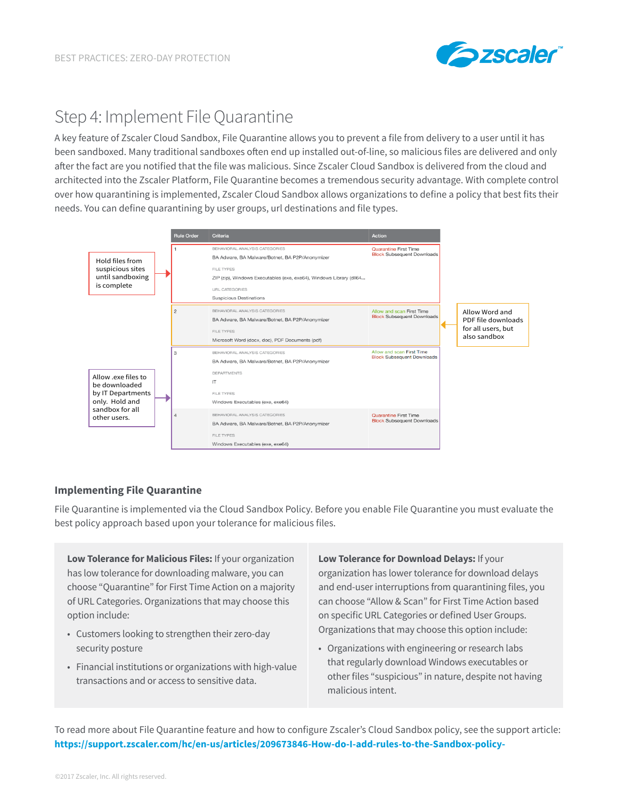

# Step 4: Implement File Quarantine

A key feature of Zscaler Cloud Sandbox, File Quarantine allows you to prevent a file from delivery to a user until it has been sandboxed. Many traditional sandboxes often end up installed out-of-line, so malicious files are delivered and only after the fact are you notified that the file was malicious. Since Zscaler Cloud Sandbox is delivered from the cloud and architected into the Zscaler Platform, File Quarantine becomes a tremendous security advantage. With complete control over how quarantining is implemented, Zscaler Cloud Sandbox allows organizations to define a policy that best fits their needs. You can define quarantining by user groups, url destinations and file types.



# **Implementing File Quarantine**

File Quarantine is implemented via the Cloud Sandbox Policy. Before you enable File Quarantine you must evaluate the best policy approach based upon your tolerance for malicious files.

**Low Tolerance for Malicious Files:** If your organization has low tolerance for downloading malware, you can choose "Quarantine" for First Time Action on a majority of URL Categories. Organizations that may choose this option include:

- Customers looking to strengthen their zero-day security posture
- Financial institutions or organizations with high-value transactions and or access to sensitive data.

**Low Tolerance for Download Delays:** If your organization has lower tolerance for download delays and end-user interruptions from quarantining files, you can choose "Allow & Scan" for First Time Action based on specific URL Categories or defined User Groups. Organizations that may choose this option include:

• Organizations with engineering or research labs that regularly download Windows executables or other files "suspicious" in nature, despite not having malicious intent.

To read more about File Quarantine feature and how to configure Zscaler's Cloud Sandbox policy, see the support article: **<https://support.zscaler.com/hc/en-us/articles/209673846-How-do-I-add-rules-to-the-Sandbox-policy->**